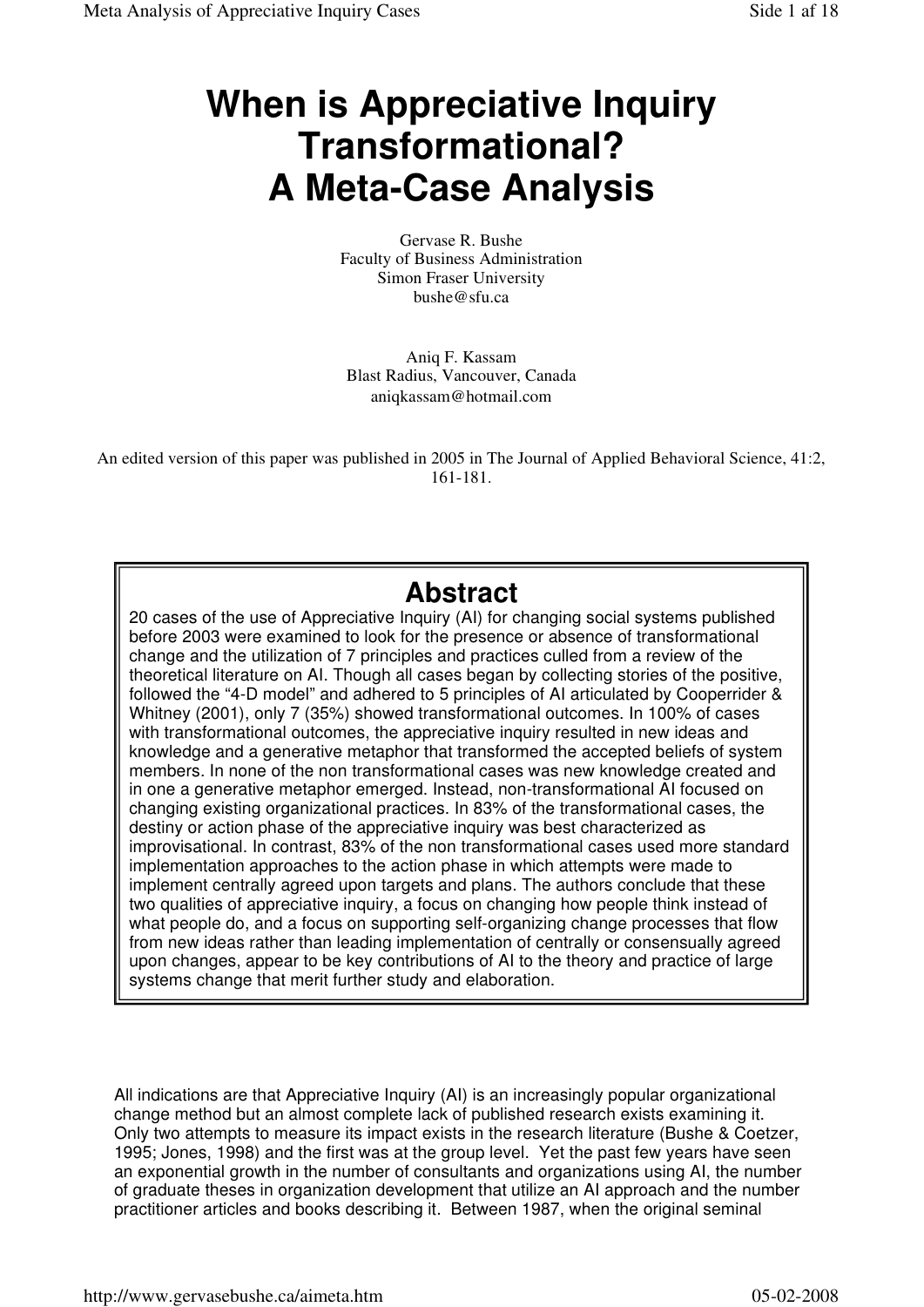# **When is Appreciative Inquiry Transformational? A Meta-Case Analysis**

Gervase R. Bushe Faculty of Business Administration Simon Fraser University bushe@sfu.ca

Aniq F. Kassam Blast Radius, Vancouver, Canada aniqkassam@hotmail.com

An edited version of this paper was published in 2005 in The Journal of Applied Behavioral Science, 41:2, 161-181.

# **Abstract**

20 cases of the use of Appreciative Inquiry (AI) for changing social systems published before 2003 were examined to look for the presence or absence of transformational change and the utilization of 7 principles and practices culled from a review of the theoretical literature on AI. Though all cases began by collecting stories of the positive, followed the "4-D model" and adhered to 5 principles of AI articulated by Cooperrider & Whitney (2001), only 7 (35%) showed transformational outcomes. In 100% of cases with transformational outcomes, the appreciative inquiry resulted in new ideas and knowledge and a generative metaphor that transformed the accepted beliefs of system members. In none of the non transformational cases was new knowledge created and in one a generative metaphor emerged. Instead, non-transformational AI focused on changing existing organizational practices. In 83% of the transformational cases, the destiny or action phase of the appreciative inquiry was best characterized as improvisational. In contrast, 83% of the non transformational cases used more standard implementation approaches to the action phase in which attempts were made to implement centrally agreed upon targets and plans. The authors conclude that these two qualities of appreciative inquiry, a focus on changing how people think instead of what people do, and a focus on supporting self-organizing change processes that flow from new ideas rather than leading implementation of centrally or consensually agreed upon changes, appear to be key contributions of AI to the theory and practice of large systems change that merit further study and elaboration.

All indications are that Appreciative Inquiry (AI) is an increasingly popular organizational change method but an almost complete lack of published research exists examining it. Only two attempts to measure its impact exists in the research literature (Bushe & Coetzer, 1995; Jones, 1998) and the first was at the group level. Yet the past few years have seen an exponential growth in the number of consultants and organizations using AI, the number of graduate theses in organization development that utilize an AI approach and the number practitioner articles and books describing it. Between 1987, when the original seminal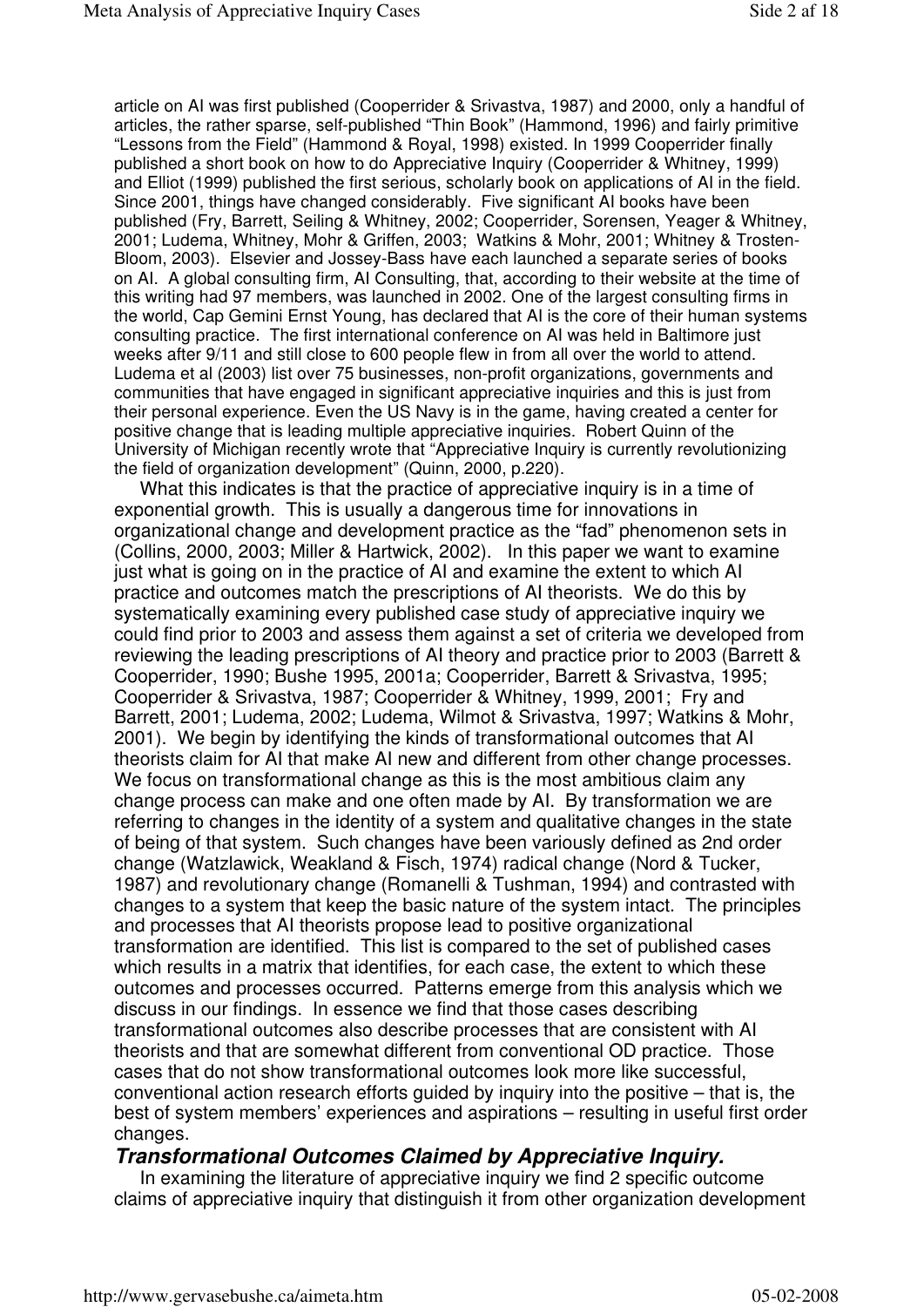article on AI was first published (Cooperrider & Srivastva, 1987) and 2000, only a handful of articles, the rather sparse, self-published "Thin Book" (Hammond, 1996) and fairly primitive "Lessons from the Field" (Hammond & Royal, 1998) existed. In 1999 Cooperrider finally published a short book on how to do Appreciative Inquiry (Cooperrider & Whitney, 1999) and Elliot (1999) published the first serious, scholarly book on applications of AI in the field. Since 2001, things have changed considerably. Five significant AI books have been published (Fry, Barrett, Seiling & Whitney, 2002; Cooperrider, Sorensen, Yeager & Whitney, 2001; Ludema, Whitney, Mohr & Griffen, 2003; Watkins & Mohr, 2001; Whitney & Trosten-Bloom, 2003). Elsevier and Jossey-Bass have each launched a separate series of books on AI. A global consulting firm, AI Consulting, that, according to their website at the time of this writing had 97 members, was launched in 2002. One of the largest consulting firms in the world, Cap Gemini Ernst Young, has declared that AI is the core of their human systems consulting practice. The first international conference on AI was held in Baltimore just weeks after 9/11 and still close to 600 people flew in from all over the world to attend. Ludema et al (2003) list over 75 businesses, non-profit organizations, governments and communities that have engaged in significant appreciative inquiries and this is just from their personal experience. Even the US Navy is in the game, having created a center for positive change that is leading multiple appreciative inquiries. Robert Quinn of the University of Michigan recently wrote that "Appreciative Inquiry is currently revolutionizing the field of organization development" (Quinn, 2000, p.220).

 What this indicates is that the practice of appreciative inquiry is in a time of exponential growth. This is usually a dangerous time for innovations in organizational change and development practice as the "fad" phenomenon sets in (Collins, 2000, 2003; Miller & Hartwick, 2002). In this paper we want to examine just what is going on in the practice of AI and examine the extent to which AI practice and outcomes match the prescriptions of AI theorists. We do this by systematically examining every published case study of appreciative inquiry we could find prior to 2003 and assess them against a set of criteria we developed from reviewing the leading prescriptions of AI theory and practice prior to 2003 (Barrett & Cooperrider, 1990; Bushe 1995, 2001a; Cooperrider, Barrett & Srivastva, 1995; Cooperrider & Srivastva, 1987; Cooperrider & Whitney, 1999, 2001; Fry and Barrett, 2001; Ludema, 2002; Ludema, Wilmot & Srivastva, 1997; Watkins & Mohr, 2001). We begin by identifying the kinds of transformational outcomes that AI theorists claim for AI that make AI new and different from other change processes. We focus on transformational change as this is the most ambitious claim any change process can make and one often made by AI. By transformation we are referring to changes in the identity of a system and qualitative changes in the state of being of that system. Such changes have been variously defined as 2nd order change (Watzlawick, Weakland & Fisch, 1974) radical change (Nord & Tucker, 1987) and revolutionary change (Romanelli & Tushman, 1994) and contrasted with changes to a system that keep the basic nature of the system intact. The principles and processes that AI theorists propose lead to positive organizational transformation are identified. This list is compared to the set of published cases which results in a matrix that identifies, for each case, the extent to which these outcomes and processes occurred. Patterns emerge from this analysis which we discuss in our findings. In essence we find that those cases describing transformational outcomes also describe processes that are consistent with AI theorists and that are somewhat different from conventional OD practice. Those cases that do not show transformational outcomes look more like successful, conventional action research efforts guided by inquiry into the positive – that is, the best of system members' experiences and aspirations – resulting in useful first order changes.

## **Transformational Outcomes Claimed by Appreciative Inquiry.**

 In examining the literature of appreciative inquiry we find 2 specific outcome claims of appreciative inquiry that distinguish it from other organization development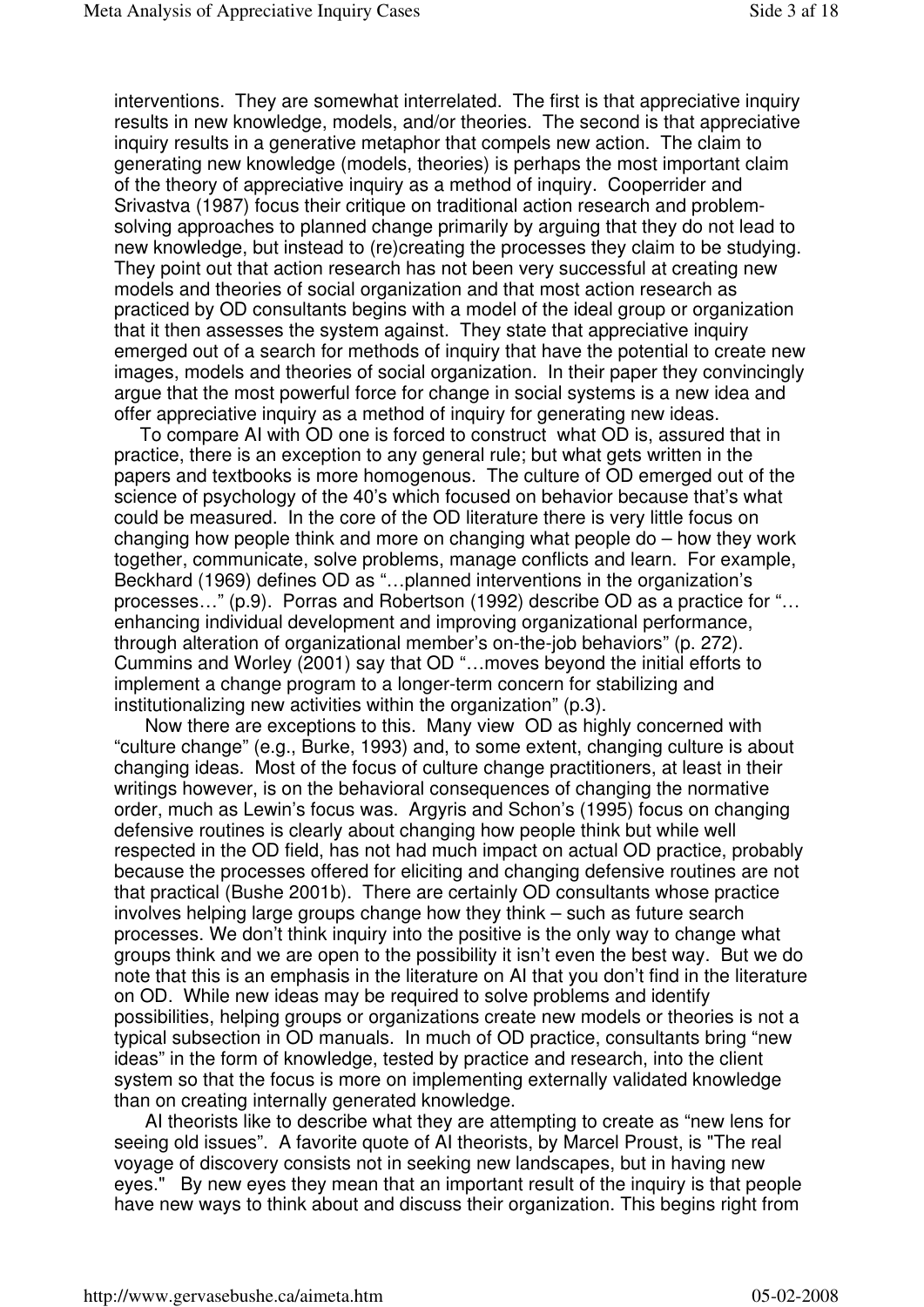interventions. They are somewhat interrelated. The first is that appreciative inquiry results in new knowledge, models, and/or theories. The second is that appreciative inquiry results in a generative metaphor that compels new action. The claim to generating new knowledge (models, theories) is perhaps the most important claim of the theory of appreciative inquiry as a method of inquiry. Cooperrider and Srivastva (1987) focus their critique on traditional action research and problemsolving approaches to planned change primarily by arguing that they do not lead to new knowledge, but instead to (re)creating the processes they claim to be studying. They point out that action research has not been very successful at creating new models and theories of social organization and that most action research as practiced by OD consultants begins with a model of the ideal group or organization that it then assesses the system against. They state that appreciative inquiry emerged out of a search for methods of inquiry that have the potential to create new images, models and theories of social organization. In their paper they convincingly argue that the most powerful force for change in social systems is a new idea and offer appreciative inquiry as a method of inquiry for generating new ideas.

 To compare AI with OD one is forced to construct what OD is, assured that in practice, there is an exception to any general rule; but what gets written in the papers and textbooks is more homogenous. The culture of OD emerged out of the science of psychology of the 40's which focused on behavior because that's what could be measured. In the core of the OD literature there is very little focus on changing how people think and more on changing what people do – how they work together, communicate, solve problems, manage conflicts and learn. For example, Beckhard (1969) defines OD as "…planned interventions in the organization's processes…" (p.9). Porras and Robertson (1992) describe OD as a practice for "… enhancing individual development and improving organizational performance, through alteration of organizational member's on-the-job behaviors" (p. 272). Cummins and Worley (2001) say that OD "…moves beyond the initial efforts to implement a change program to a longer-term concern for stabilizing and institutionalizing new activities within the organization" (p.3).

 Now there are exceptions to this. Many view OD as highly concerned with "culture change" (e.g., Burke, 1993) and, to some extent, changing culture is about changing ideas. Most of the focus of culture change practitioners, at least in their writings however, is on the behavioral consequences of changing the normative order, much as Lewin's focus was. Argyris and Schon's (1995) focus on changing defensive routines is clearly about changing how people think but while well respected in the OD field, has not had much impact on actual OD practice, probably because the processes offered for eliciting and changing defensive routines are not that practical (Bushe 2001b). There are certainly OD consultants whose practice involves helping large groups change how they think – such as future search processes. We don't think inquiry into the positive is the only way to change what groups think and we are open to the possibility it isn't even the best way. But we do note that this is an emphasis in the literature on AI that you don't find in the literature on OD. While new ideas may be required to solve problems and identify possibilities, helping groups or organizations create new models or theories is not a typical subsection in OD manuals. In much of OD practice, consultants bring "new ideas" in the form of knowledge, tested by practice and research, into the client system so that the focus is more on implementing externally validated knowledge than on creating internally generated knowledge.

 AI theorists like to describe what they are attempting to create as "new lens for seeing old issues". A favorite quote of AI theorists, by Marcel Proust, is "The real voyage of discovery consists not in seeking new landscapes, but in having new eyes." By new eyes they mean that an important result of the inquiry is that people have new ways to think about and discuss their organization. This begins right from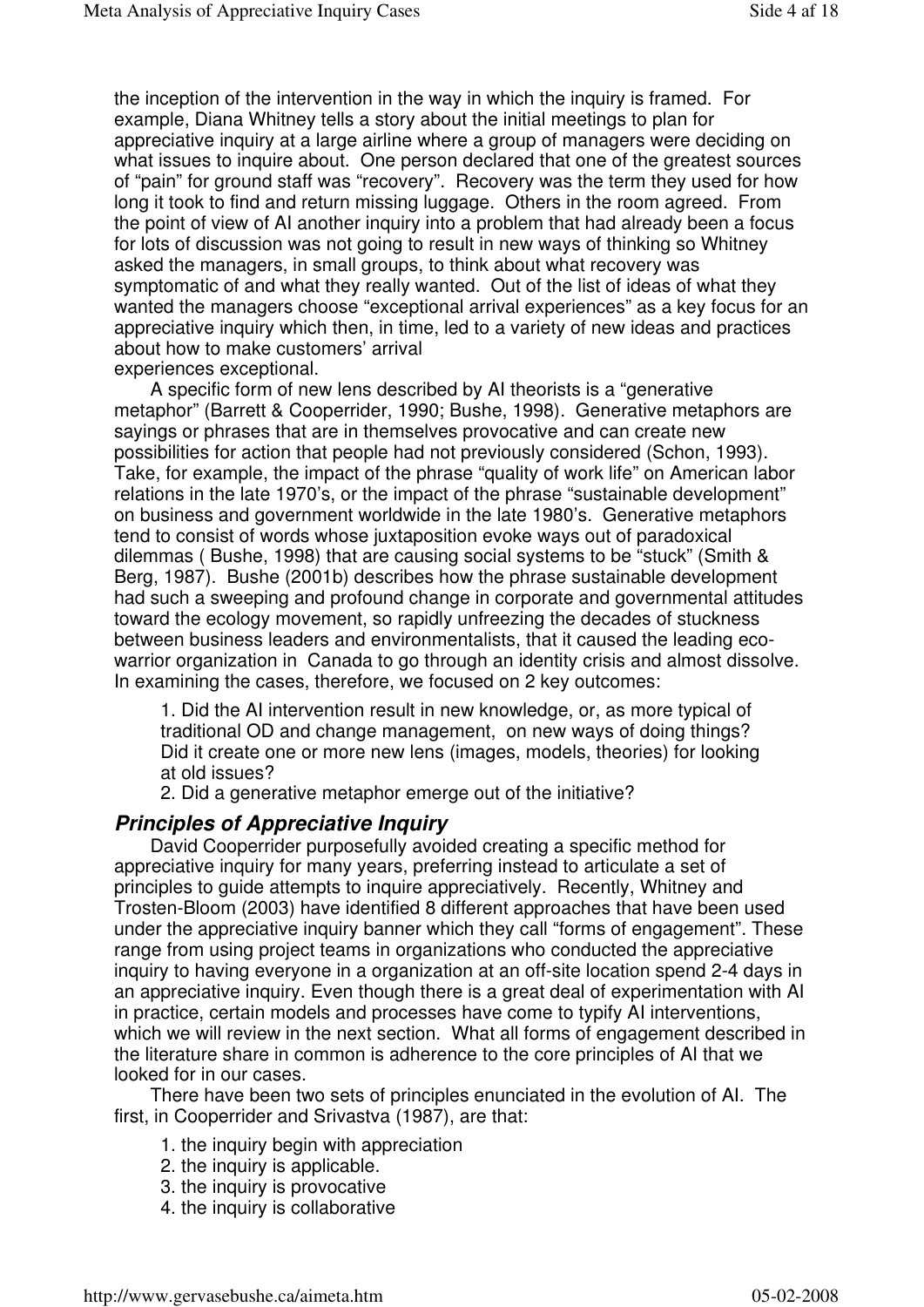the inception of the intervention in the way in which the inquiry is framed. For example, Diana Whitney tells a story about the initial meetings to plan for appreciative inquiry at a large airline where a group of managers were deciding on what issues to inquire about. One person declared that one of the greatest sources of "pain" for ground staff was "recovery". Recovery was the term they used for how long it took to find and return missing luggage. Others in the room agreed. From the point of view of AI another inquiry into a problem that had already been a focus for lots of discussion was not going to result in new ways of thinking so Whitney asked the managers, in small groups, to think about what recovery was symptomatic of and what they really wanted. Out of the list of ideas of what they wanted the managers choose "exceptional arrival experiences" as a key focus for an appreciative inquiry which then, in time, led to a variety of new ideas and practices about how to make customers' arrival experiences exceptional.

 A specific form of new lens described by AI theorists is a "generative metaphor" (Barrett & Cooperrider, 1990; Bushe, 1998). Generative metaphors are sayings or phrases that are in themselves provocative and can create new possibilities for action that people had not previously considered (Schon, 1993). Take, for example, the impact of the phrase "quality of work life" on American labor relations in the late 1970's, or the impact of the phrase "sustainable development" on business and government worldwide in the late 1980's. Generative metaphors tend to consist of words whose juxtaposition evoke ways out of paradoxical dilemmas ( Bushe, 1998) that are causing social systems to be "stuck" (Smith & Berg, 1987). Bushe (2001b) describes how the phrase sustainable development had such a sweeping and profound change in corporate and governmental attitudes toward the ecology movement, so rapidly unfreezing the decades of stuckness between business leaders and environmentalists, that it caused the leading ecowarrior organization in Canada to go through an identity crisis and almost dissolve. In examining the cases, therefore, we focused on 2 key outcomes:

1. Did the AI intervention result in new knowledge, or, as more typical of traditional OD and change management, on new ways of doing things? Did it create one or more new lens (images, models, theories) for looking at old issues?

2. Did a generative metaphor emerge out of the initiative?

## **Principles of Appreciative Inquiry**

 David Cooperrider purposefully avoided creating a specific method for appreciative inquiry for many years, preferring instead to articulate a set of principles to guide attempts to inquire appreciatively. Recently, Whitney and Trosten-Bloom (2003) have identified 8 different approaches that have been used under the appreciative inquiry banner which they call "forms of engagement". These range from using project teams in organizations who conducted the appreciative inquiry to having everyone in a organization at an off-site location spend 2-4 days in an appreciative inquiry. Even though there is a great deal of experimentation with AI in practice, certain models and processes have come to typify AI interventions, which we will review in the next section. What all forms of engagement described in the literature share in common is adherence to the core principles of AI that we looked for in our cases.

 There have been two sets of principles enunciated in the evolution of AI. The first, in Cooperrider and Srivastva (1987), are that:

- 1. the inquiry begin with appreciation
- 2. the inquiry is applicable.
- 3. the inquiry is provocative
- 4. the inquiry is collaborative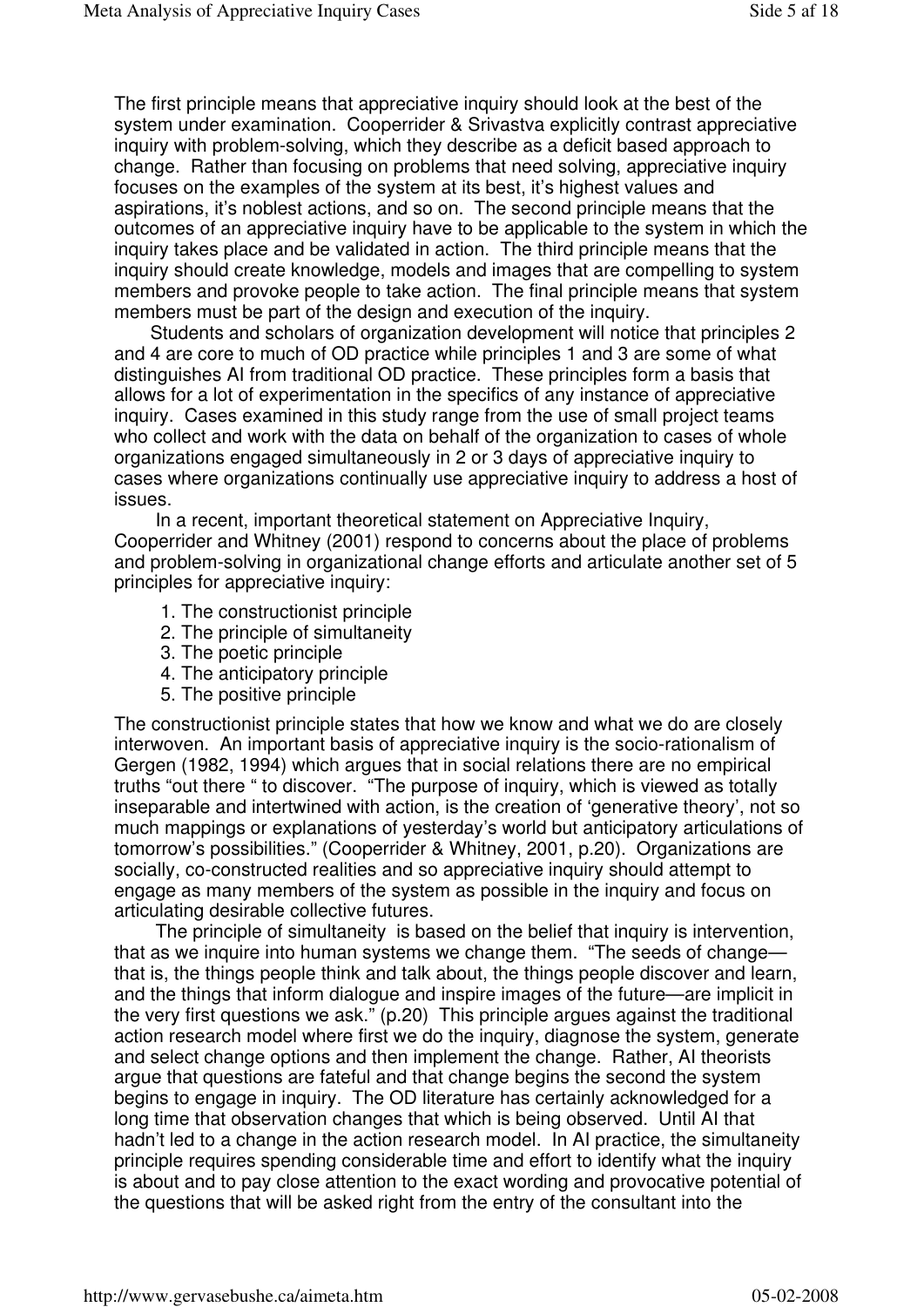The first principle means that appreciative inquiry should look at the best of the system under examination. Cooperrider & Srivastva explicitly contrast appreciative inquiry with problem-solving, which they describe as a deficit based approach to change. Rather than focusing on problems that need solving, appreciative inquiry focuses on the examples of the system at its best, it's highest values and aspirations, it's noblest actions, and so on. The second principle means that the outcomes of an appreciative inquiry have to be applicable to the system in which the inquiry takes place and be validated in action. The third principle means that the inquiry should create knowledge, models and images that are compelling to system members and provoke people to take action. The final principle means that system members must be part of the design and execution of the inquiry.

 Students and scholars of organization development will notice that principles 2 and 4 are core to much of OD practice while principles 1 and 3 are some of what distinguishes AI from traditional OD practice. These principles form a basis that allows for a lot of experimentation in the specifics of any instance of appreciative inquiry. Cases examined in this study range from the use of small project teams who collect and work with the data on behalf of the organization to cases of whole organizations engaged simultaneously in 2 or 3 days of appreciative inquiry to cases where organizations continually use appreciative inquiry to address a host of issues.

In a recent, important theoretical statement on Appreciative Inquiry, Cooperrider and Whitney (2001) respond to concerns about the place of problems and problem-solving in organizational change efforts and articulate another set of 5 principles for appreciative inquiry:

- 1. The constructionist principle
- 2. The principle of simultaneity
- 3. The poetic principle
- 4. The anticipatory principle
- 5. The positive principle

The constructionist principle states that how we know and what we do are closely interwoven. An important basis of appreciative inquiry is the socio-rationalism of Gergen (1982, 1994) which argues that in social relations there are no empirical truths "out there " to discover. "The purpose of inquiry, which is viewed as totally inseparable and intertwined with action, is the creation of 'generative theory', not so much mappings or explanations of yesterday's world but anticipatory articulations of tomorrow's possibilities." (Cooperrider & Whitney, 2001, p.20). Organizations are socially, co-constructed realities and so appreciative inquiry should attempt to engage as many members of the system as possible in the inquiry and focus on articulating desirable collective futures.

 The principle of simultaneity is based on the belief that inquiry is intervention, that as we inquire into human systems we change them. "The seeds of change that is, the things people think and talk about, the things people discover and learn, and the things that inform dialogue and inspire images of the future—are implicit in the very first questions we ask." (p.20) This principle argues against the traditional action research model where first we do the inquiry, diagnose the system, generate and select change options and then implement the change. Rather, AI theorists argue that questions are fateful and that change begins the second the system begins to engage in inquiry. The OD literature has certainly acknowledged for a long time that observation changes that which is being observed. Until AI that hadn't led to a change in the action research model. In AI practice, the simultaneity principle requires spending considerable time and effort to identify what the inquiry is about and to pay close attention to the exact wording and provocative potential of the questions that will be asked right from the entry of the consultant into the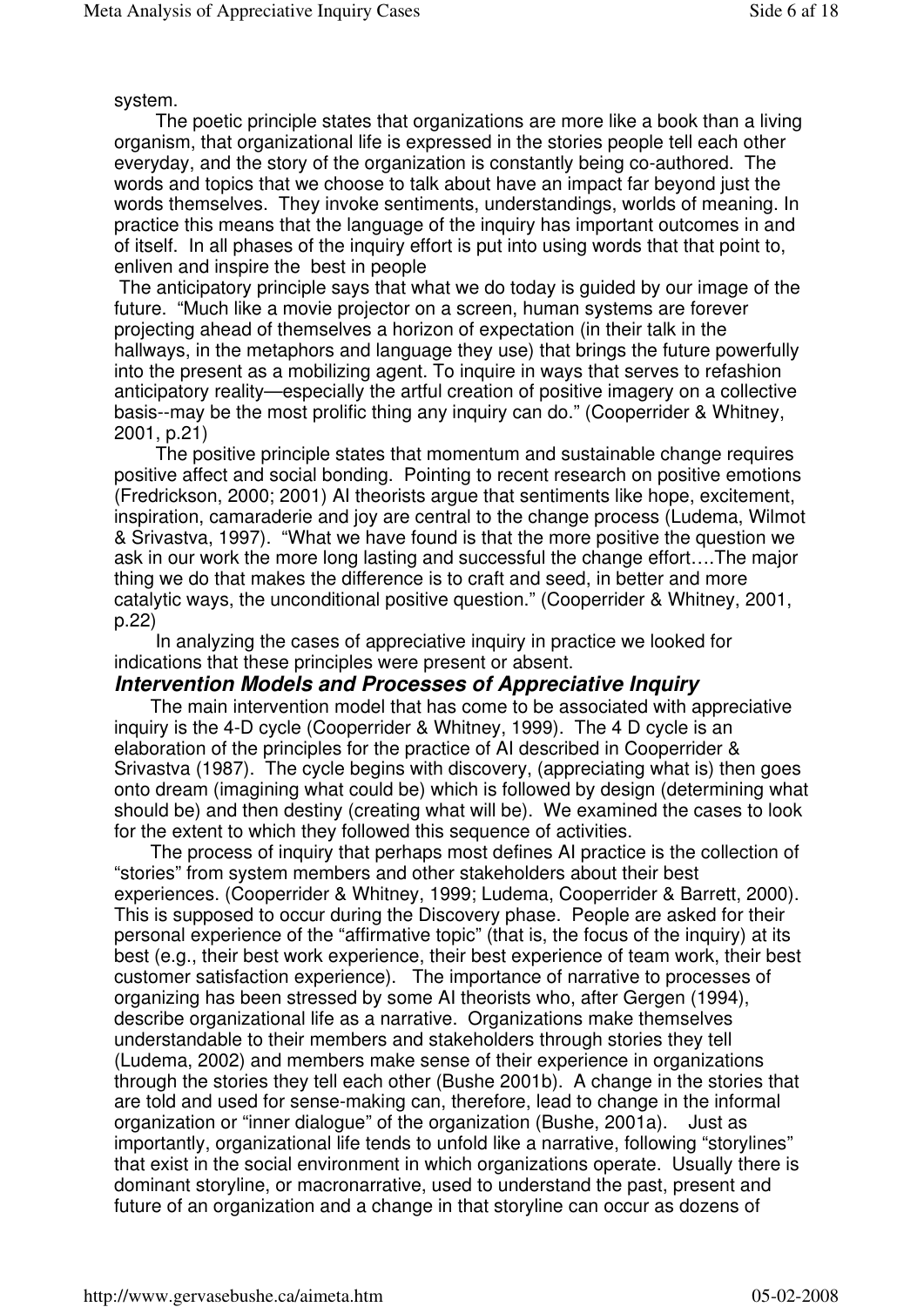## system.

 The poetic principle states that organizations are more like a book than a living organism, that organizational life is expressed in the stories people tell each other everyday, and the story of the organization is constantly being co-authored. The words and topics that we choose to talk about have an impact far beyond just the words themselves. They invoke sentiments, understandings, worlds of meaning. In practice this means that the language of the inquiry has important outcomes in and of itself. In all phases of the inquiry effort is put into using words that that point to, enliven and inspire the best in people

 The anticipatory principle says that what we do today is guided by our image of the future. "Much like a movie projector on a screen, human systems are forever projecting ahead of themselves a horizon of expectation (in their talk in the hallways, in the metaphors and language they use) that brings the future powerfully into the present as a mobilizing agent. To inquire in ways that serves to refashion anticipatory reality—especially the artful creation of positive imagery on a collective basis--may be the most prolific thing any inquiry can do." (Cooperrider & Whitney, 2001, p.21)

 The positive principle states that momentum and sustainable change requires positive affect and social bonding. Pointing to recent research on positive emotions (Fredrickson, 2000; 2001) AI theorists argue that sentiments like hope, excitement, inspiration, camaraderie and joy are central to the change process (Ludema, Wilmot & Srivastva, 1997). "What we have found is that the more positive the question we ask in our work the more long lasting and successful the change effort….The major thing we do that makes the difference is to craft and seed, in better and more catalytic ways, the unconditional positive question." (Cooperrider & Whitney, 2001, p.22)

 In analyzing the cases of appreciative inquiry in practice we looked for indications that these principles were present or absent.

#### **Intervention Models and Processes of Appreciative Inquiry**

 The main intervention model that has come to be associated with appreciative inquiry is the 4-D cycle (Cooperrider & Whitney, 1999). The 4 D cycle is an elaboration of the principles for the practice of AI described in Cooperrider & Srivastva (1987). The cycle begins with discovery, (appreciating what is) then goes onto dream (imagining what could be) which is followed by design (determining what should be) and then destiny (creating what will be). We examined the cases to look for the extent to which they followed this sequence of activities.

 The process of inquiry that perhaps most defines AI practice is the collection of "stories" from system members and other stakeholders about their best experiences. (Cooperrider & Whitney, 1999; Ludema, Cooperrider & Barrett, 2000). This is supposed to occur during the Discovery phase. People are asked for their personal experience of the "affirmative topic" (that is, the focus of the inquiry) at its best (e.g., their best work experience, their best experience of team work, their best customer satisfaction experience). The importance of narrative to processes of organizing has been stressed by some AI theorists who, after Gergen (1994), describe organizational life as a narrative. Organizations make themselves understandable to their members and stakeholders through stories they tell (Ludema, 2002) and members make sense of their experience in organizations through the stories they tell each other (Bushe 2001b). A change in the stories that are told and used for sense-making can, therefore, lead to change in the informal organization or "inner dialogue" of the organization (Bushe, 2001a). Just as importantly, organizational life tends to unfold like a narrative, following "storylines" that exist in the social environment in which organizations operate. Usually there is dominant storyline, or macronarrative, used to understand the past, present and future of an organization and a change in that storyline can occur as dozens of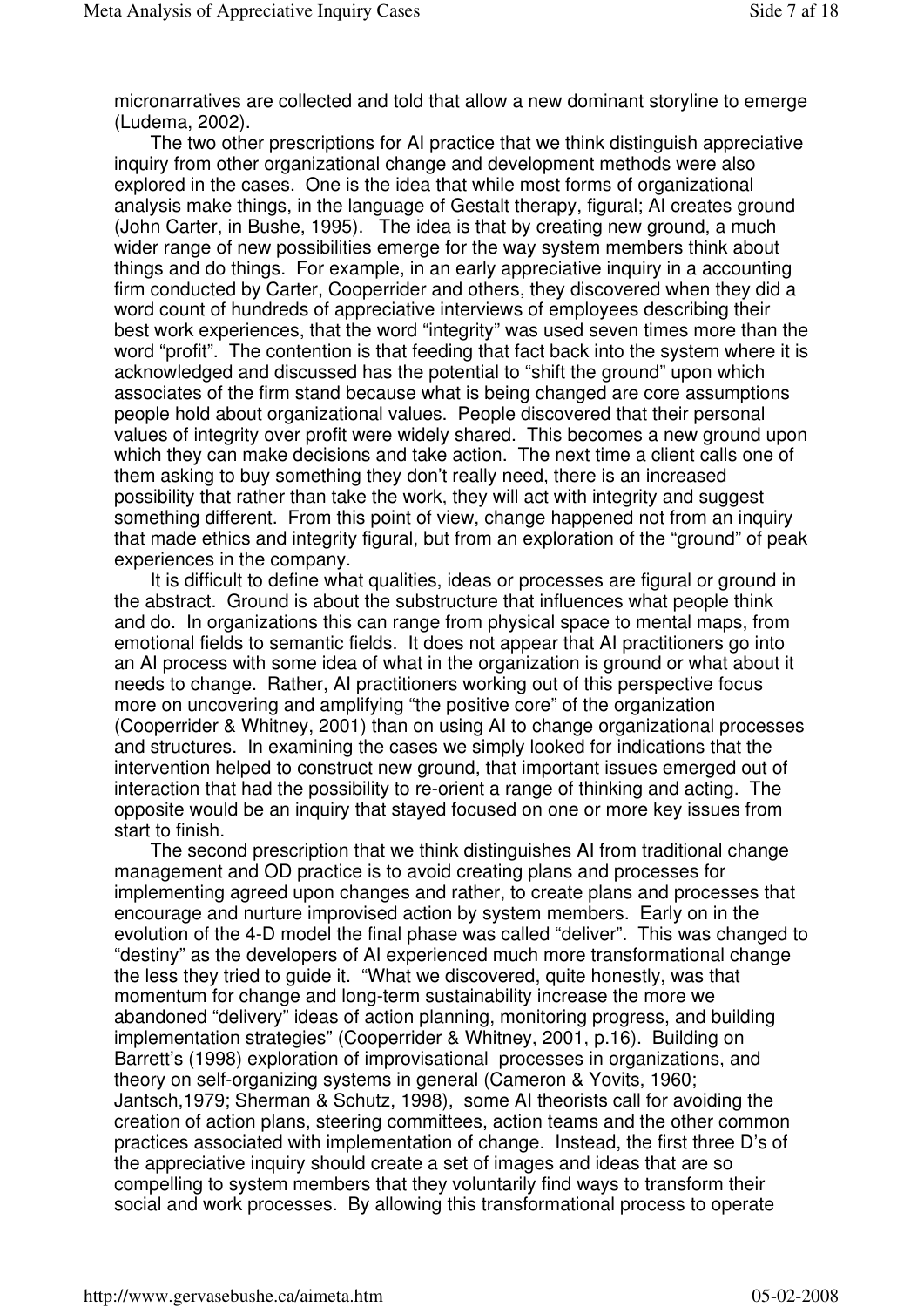micronarratives are collected and told that allow a new dominant storyline to emerge (Ludema, 2002).

 The two other prescriptions for AI practice that we think distinguish appreciative inquiry from other organizational change and development methods were also explored in the cases. One is the idea that while most forms of organizational analysis make things, in the language of Gestalt therapy, figural; AI creates ground (John Carter, in Bushe, 1995). The idea is that by creating new ground, a much wider range of new possibilities emerge for the way system members think about things and do things. For example, in an early appreciative inquiry in a accounting firm conducted by Carter, Cooperrider and others, they discovered when they did a word count of hundreds of appreciative interviews of employees describing their best work experiences, that the word "integrity" was used seven times more than the word "profit". The contention is that feeding that fact back into the system where it is acknowledged and discussed has the potential to "shift the ground" upon which associates of the firm stand because what is being changed are core assumptions people hold about organizational values. People discovered that their personal values of integrity over profit were widely shared. This becomes a new ground upon which they can make decisions and take action. The next time a client calls one of them asking to buy something they don't really need, there is an increased possibility that rather than take the work, they will act with integrity and suggest something different. From this point of view, change happened not from an inquiry that made ethics and integrity figural, but from an exploration of the "ground" of peak experiences in the company.

 It is difficult to define what qualities, ideas or processes are figural or ground in the abstract. Ground is about the substructure that influences what people think and do. In organizations this can range from physical space to mental maps, from emotional fields to semantic fields. It does not appear that AI practitioners go into an AI process with some idea of what in the organization is ground or what about it needs to change. Rather, AI practitioners working out of this perspective focus more on uncovering and amplifying "the positive core" of the organization (Cooperrider & Whitney, 2001) than on using AI to change organizational processes and structures. In examining the cases we simply looked for indications that the intervention helped to construct new ground, that important issues emerged out of interaction that had the possibility to re-orient a range of thinking and acting. The opposite would be an inquiry that stayed focused on one or more key issues from start to finish.

 The second prescription that we think distinguishes AI from traditional change management and OD practice is to avoid creating plans and processes for implementing agreed upon changes and rather, to create plans and processes that encourage and nurture improvised action by system members. Early on in the evolution of the 4-D model the final phase was called "deliver". This was changed to "destiny" as the developers of AI experienced much more transformational change the less they tried to guide it. "What we discovered, quite honestly, was that momentum for change and long-term sustainability increase the more we abandoned "delivery" ideas of action planning, monitoring progress, and building implementation strategies" (Cooperrider & Whitney, 2001, p.16). Building on Barrett's (1998) exploration of improvisational processes in organizations, and theory on self-organizing systems in general (Cameron & Yovits, 1960; Jantsch,1979; Sherman & Schutz, 1998), some AI theorists call for avoiding the creation of action plans, steering committees, action teams and the other common practices associated with implementation of change. Instead, the first three D's of the appreciative inquiry should create a set of images and ideas that are so compelling to system members that they voluntarily find ways to transform their social and work processes. By allowing this transformational process to operate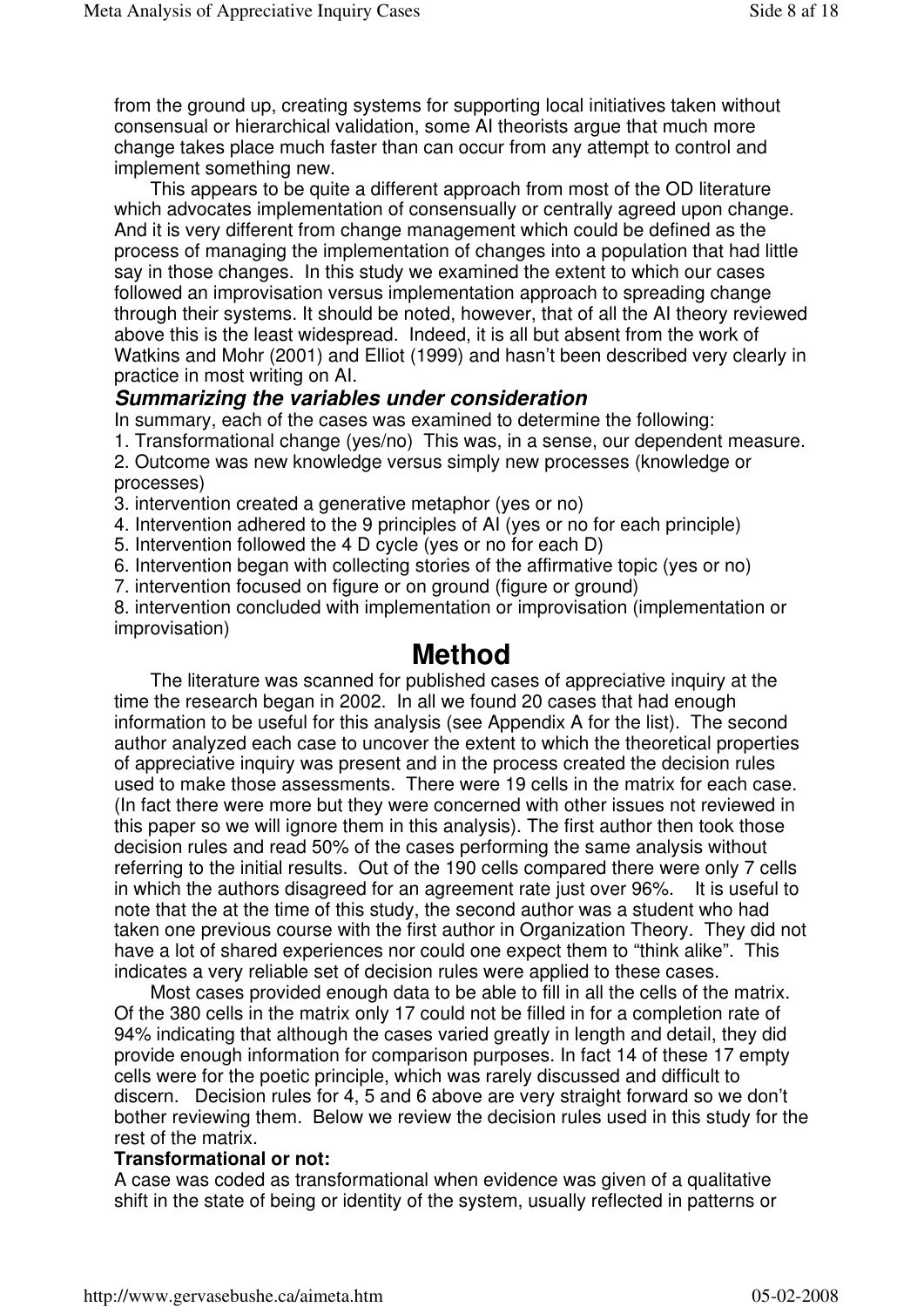from the ground up, creating systems for supporting local initiatives taken without consensual or hierarchical validation, some AI theorists argue that much more change takes place much faster than can occur from any attempt to control and implement something new.

 This appears to be quite a different approach from most of the OD literature which advocates implementation of consensually or centrally agreed upon change. And it is very different from change management which could be defined as the process of managing the implementation of changes into a population that had little say in those changes. In this study we examined the extent to which our cases followed an improvisation versus implementation approach to spreading change through their systems. It should be noted, however, that of all the AI theory reviewed above this is the least widespread. Indeed, it is all but absent from the work of Watkins and Mohr (2001) and Elliot (1999) and hasn't been described very clearly in practice in most writing on AI.

## **Summarizing the variables under consideration**

In summary, each of the cases was examined to determine the following:

- 1. Transformational change (yes/no) This was, in a sense, our dependent measure.
- 2. Outcome was new knowledge versus simply new processes (knowledge or processes)

3. intervention created a generative metaphor (yes or no)

4. Intervention adhered to the 9 principles of AI (yes or no for each principle)

5. Intervention followed the 4 D cycle (yes or no for each D)

6. Intervention began with collecting stories of the affirmative topic (yes or no)

7. intervention focused on figure or on ground (figure or ground)

8. intervention concluded with implementation or improvisation (implementation or improvisation)

# **Method**

 The literature was scanned for published cases of appreciative inquiry at the time the research began in 2002. In all we found 20 cases that had enough information to be useful for this analysis (see Appendix A for the list). The second author analyzed each case to uncover the extent to which the theoretical properties of appreciative inquiry was present and in the process created the decision rules used to make those assessments. There were 19 cells in the matrix for each case. (In fact there were more but they were concerned with other issues not reviewed in this paper so we will ignore them in this analysis). The first author then took those decision rules and read 50% of the cases performing the same analysis without referring to the initial results. Out of the 190 cells compared there were only 7 cells in which the authors disagreed for an agreement rate just over 96%. It is useful to note that the at the time of this study, the second author was a student who had taken one previous course with the first author in Organization Theory. They did not have a lot of shared experiences nor could one expect them to "think alike". This indicates a very reliable set of decision rules were applied to these cases.

 Most cases provided enough data to be able to fill in all the cells of the matrix. Of the 380 cells in the matrix only 17 could not be filled in for a completion rate of 94% indicating that although the cases varied greatly in length and detail, they did provide enough information for comparison purposes. In fact 14 of these 17 empty cells were for the poetic principle, which was rarely discussed and difficult to discern. Decision rules for 4, 5 and 6 above are very straight forward so we don't bother reviewing them. Below we review the decision rules used in this study for the rest of the matrix.

#### **Transformational or not:**

A case was coded as transformational when evidence was given of a qualitative shift in the state of being or identity of the system, usually reflected in patterns or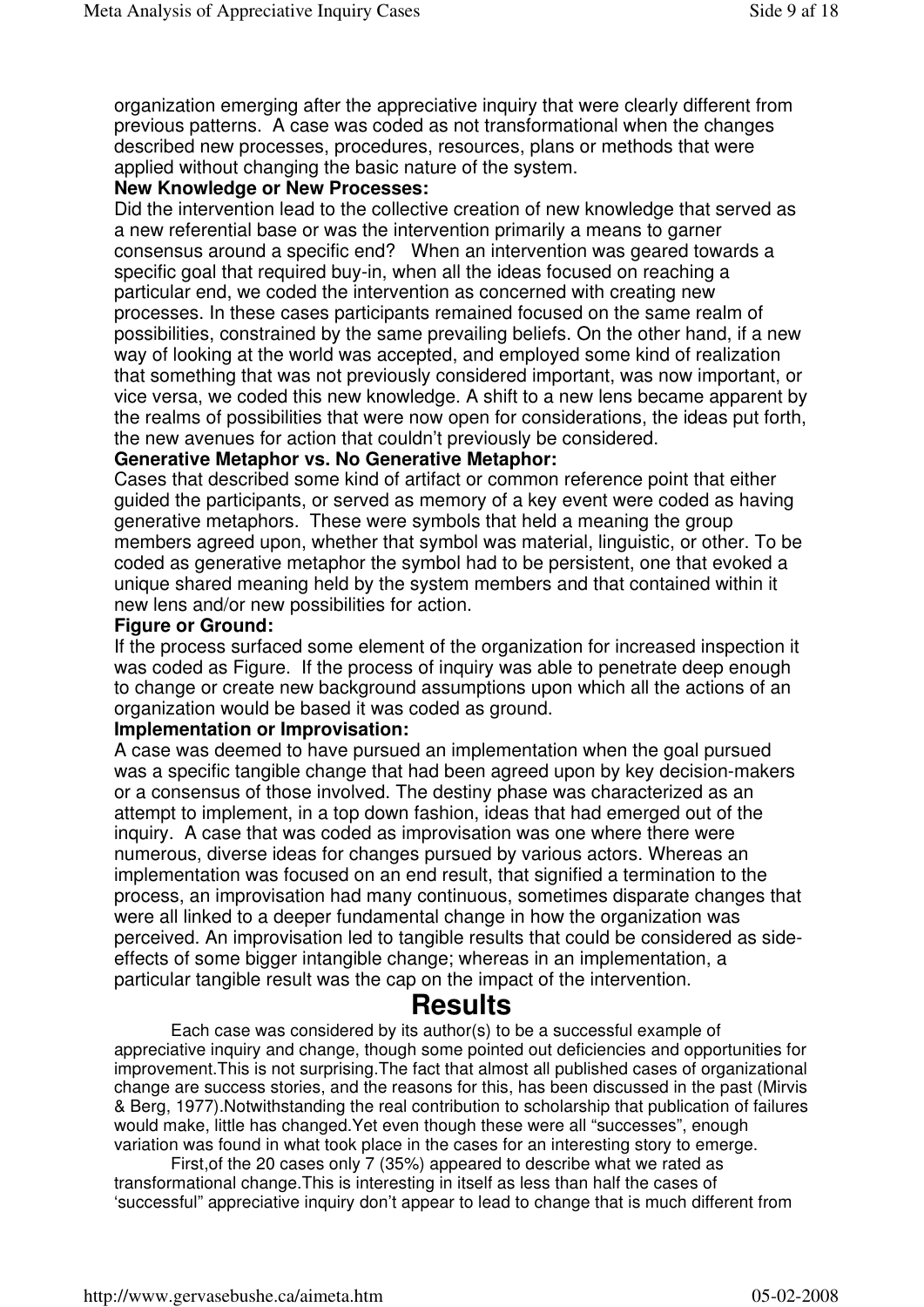organization emerging after the appreciative inquiry that were clearly different from previous patterns. A case was coded as not transformational when the changes described new processes, procedures, resources, plans or methods that were applied without changing the basic nature of the system.

#### **New Knowledge or New Processes:**

Did the intervention lead to the collective creation of new knowledge that served as a new referential base or was the intervention primarily a means to garner consensus around a specific end? When an intervention was geared towards a specific goal that required buy-in, when all the ideas focused on reaching a particular end, we coded the intervention as concerned with creating new processes. In these cases participants remained focused on the same realm of possibilities, constrained by the same prevailing beliefs. On the other hand, if a new way of looking at the world was accepted, and employed some kind of realization that something that was not previously considered important, was now important, or vice versa, we coded this new knowledge. A shift to a new lens became apparent by the realms of possibilities that were now open for considerations, the ideas put forth, the new avenues for action that couldn't previously be considered.

#### **Generative Metaphor vs. No Generative Metaphor:**

Cases that described some kind of artifact or common reference point that either guided the participants, or served as memory of a key event were coded as having generative metaphors. These were symbols that held a meaning the group members agreed upon, whether that symbol was material, linguistic, or other. To be coded as generative metaphor the symbol had to be persistent, one that evoked a unique shared meaning held by the system members and that contained within it new lens and/or new possibilities for action.

#### **Figure or Ground:**

If the process surfaced some element of the organization for increased inspection it was coded as Figure. If the process of inquiry was able to penetrate deep enough to change or create new background assumptions upon which all the actions of an organization would be based it was coded as ground.

#### **Implementation or Improvisation:**

A case was deemed to have pursued an implementation when the goal pursued was a specific tangible change that had been agreed upon by key decision-makers or a consensus of those involved. The destiny phase was characterized as an attempt to implement, in a top down fashion, ideas that had emerged out of the inquiry. A case that was coded as improvisation was one where there were numerous, diverse ideas for changes pursued by various actors. Whereas an implementation was focused on an end result, that signified a termination to the process, an improvisation had many continuous, sometimes disparate changes that were all linked to a deeper fundamental change in how the organization was perceived. An improvisation led to tangible results that could be considered as sideeffects of some bigger intangible change; whereas in an implementation, a particular tangible result was the cap on the impact of the intervention.

# **Results**

 Each case was considered by its author(s) to be a successful example of appreciative inquiry and change, though some pointed out deficiencies and opportunities for improvement.This is not surprising.The fact that almost all published cases of organizational change are success stories, and the reasons for this, has been discussed in the past (Mirvis & Berg, 1977).Notwithstanding the real contribution to scholarship that publication of failures would make, little has changed.Yet even though these were all "successes", enough variation was found in what took place in the cases for an interesting story to emerge.

 First,of the 20 cases only 7 (35%) appeared to describe what we rated as transformational change.This is interesting in itself as less than half the cases of 'successful" appreciative inquiry don't appear to lead to change that is much different from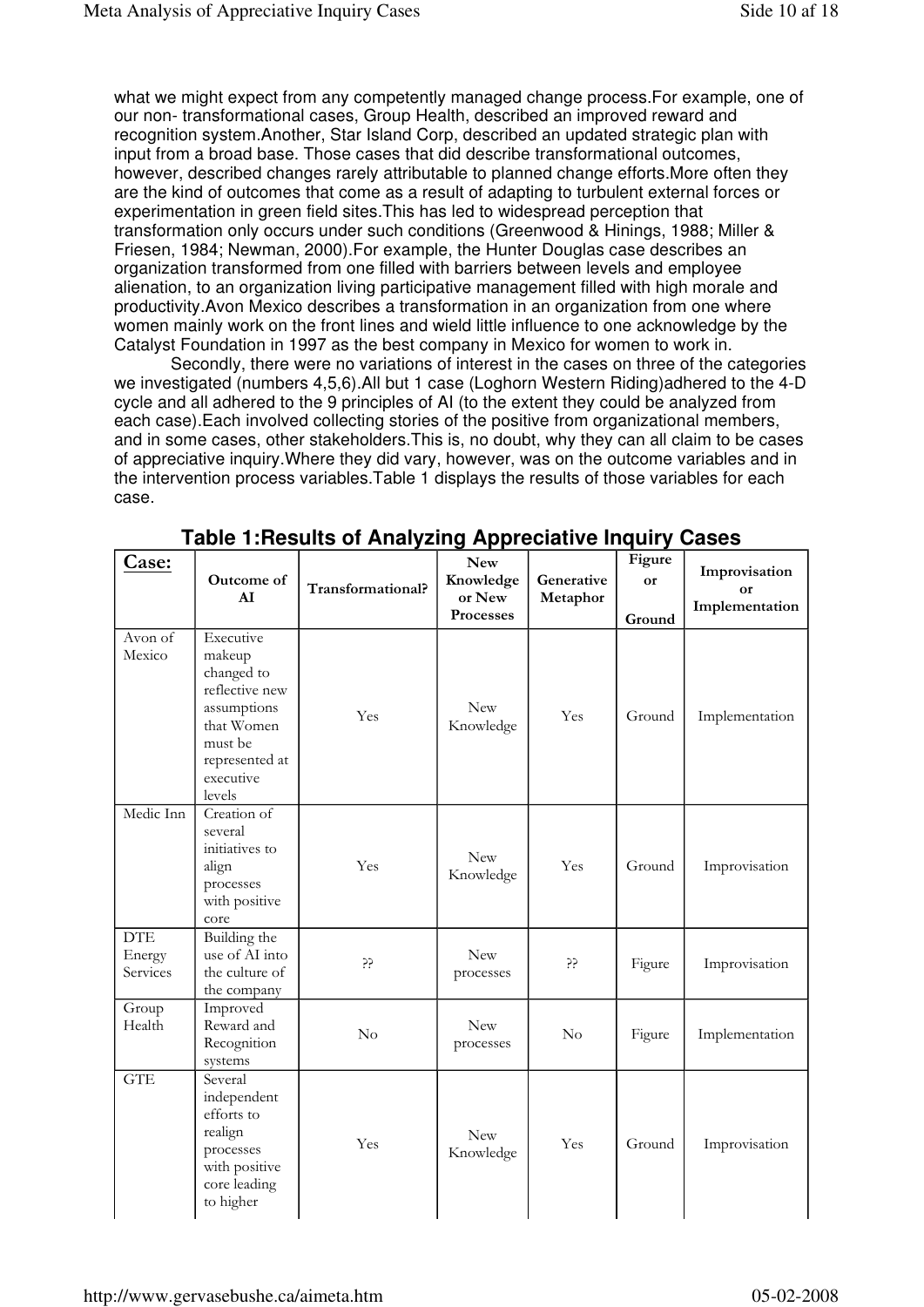what we might expect from any competently managed change process.For example, one of our non- transformational cases, Group Health, described an improved reward and recognition system.Another, Star Island Corp, described an updated strategic plan with input from a broad base. Those cases that did describe transformational outcomes, however, described changes rarely attributable to planned change efforts.More often they are the kind of outcomes that come as a result of adapting to turbulent external forces or experimentation in green field sites.This has led to widespread perception that transformation only occurs under such conditions (Greenwood & Hinings, 1988; Miller & Friesen, 1984; Newman, 2000).For example, the Hunter Douglas case describes an organization transformed from one filled with barriers between levels and employee alienation, to an organization living participative management filled with high morale and productivity.Avon Mexico describes a transformation in an organization from one where women mainly work on the front lines and wield little influence to one acknowledge by the Catalyst Foundation in 1997 as the best company in Mexico for women to work in.

 Secondly, there were no variations of interest in the cases on three of the categories we investigated (numbers 4,5,6).All but 1 case (Loghorn Western Riding)adhered to the 4-D cycle and all adhered to the 9 principles of AI (to the extent they could be analyzed from each case).Each involved collecting stories of the positive from organizational members, and in some cases, other stakeholders.This is, no doubt, why they can all claim to be cases of appreciative inquiry.Where they did vary, however, was on the outcome variables and in the intervention process variables.Table 1 displays the results of those variables for each case.

| Case:                     | Outcome of<br>AI                                                                                                                     | Transformational? | <b>New</b><br>Knowledge<br>or New<br>Processes | Generative<br>Metaphor | Figure<br>or<br>Ground | Improvisation<br>or<br>Implementation |
|---------------------------|--------------------------------------------------------------------------------------------------------------------------------------|-------------------|------------------------------------------------|------------------------|------------------------|---------------------------------------|
| Avon of<br>Mexico         | Executive<br>makeup<br>changed to<br>reflective new<br>assumptions<br>that Women<br>must be<br>represented at<br>executive<br>levels | Yes               | <b>New</b><br>Knowledge                        | Yes                    | Ground                 | Implementation                        |
| Medic Inn                 | Creation of<br>several<br>initiatives to<br>align<br>processes<br>with positive<br>core                                              | Yes               | <b>New</b><br>Knowledge                        | Yes                    | Ground                 | Improvisation                         |
| DTE<br>Energy<br>Services | Building the<br>use of AI into<br>the culture of<br>the company                                                                      | çç                | <b>New</b><br>processes                        | çç                     | Figure                 | Improvisation                         |
| Group<br>Health           | Improved<br>Reward and<br>Recognition<br>systems                                                                                     | $\rm No$          | <b>New</b><br>processes                        | $\rm No$               | Figure                 | Implementation                        |
| <b>GTE</b>                | Several<br>independent<br>efforts to<br>realign<br>processes<br>with positive<br>core leading<br>to higher                           | Yes               | <b>New</b><br>Knowledge                        | Yes                    | Ground                 | Improvisation                         |

**Table 1:Results of Analyzing Appreciative Inquiry Cases**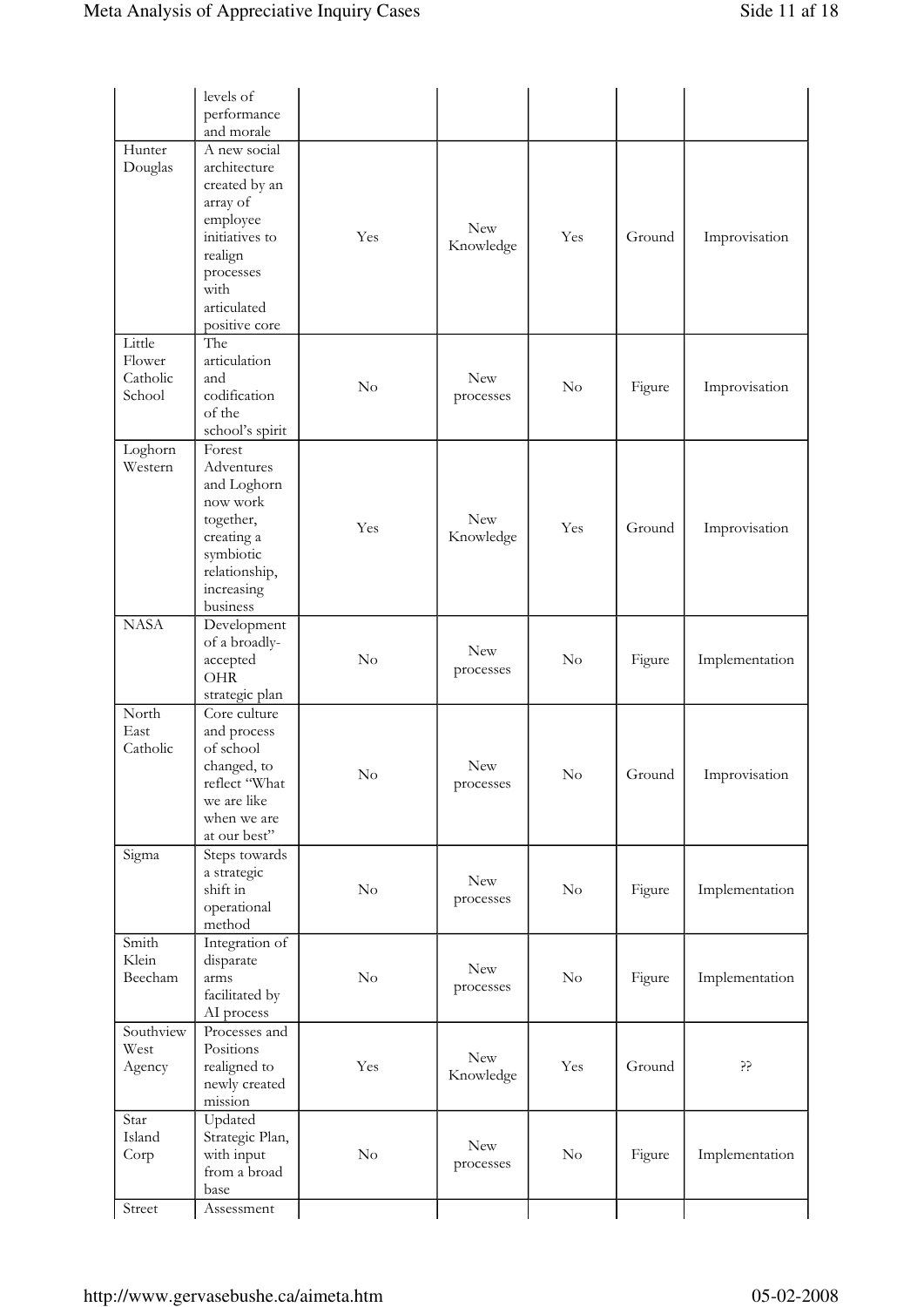|                                        | levels of<br>performance                                                                                                                                              |          |                         |          |        |                |
|----------------------------------------|-----------------------------------------------------------------------------------------------------------------------------------------------------------------------|----------|-------------------------|----------|--------|----------------|
| Hunter<br>Douglas                      | and morale<br>A new social<br>architecture<br>created by an<br>array of<br>employee<br>initiatives to<br>realign<br>processes<br>with<br>articulated<br>positive core | Yes      | <b>New</b><br>Knowledge | Yes      | Ground | Improvisation  |
| Little<br>Flower<br>Catholic<br>School | The<br>articulation<br>and<br>codification<br>of the<br>school's spirit                                                                                               | $\rm No$ | New<br>processes        | $\rm No$ | Figure | Improvisation  |
| Loghorn<br>Western                     | Forest<br>Adventures<br>and Loghorn<br>now work<br>together,<br>creating a<br>symbiotic<br>relationship,<br>increasing<br>business                                    | Yes      | <b>New</b><br>Knowledge | Yes      | Ground | Improvisation  |
| <b>NASA</b>                            | Development<br>of a broadly-<br>accepted<br>OHR<br>strategic plan                                                                                                     | $\rm No$ | <b>New</b><br>processes | $\rm No$ | Figure | Implementation |
| North<br>East<br>Catholic              | Core culture<br>and process<br>of school<br>changed, to<br>reflect "What<br>we are like<br>when we are<br>at our best"                                                | $\rm No$ | New<br>processes        | $\rm No$ | Ground | Improvisation  |
| Sigma                                  | Steps towards<br>a strategic<br>shift in<br>operational<br>method                                                                                                     | $\rm No$ | New<br>processes        | $\rm No$ | Figure | Implementation |
| Smith<br>Klein<br>Beecham              | Integration of<br>disparate<br>arms<br>facilitated by<br>AI process                                                                                                   | $\rm No$ | <b>New</b><br>processes | $\rm No$ | Figure | Implementation |
| Southview<br>West<br>Agency            | Processes and<br>Positions<br>realigned to<br>newly created<br>mission                                                                                                | Yes      | <b>New</b><br>Knowledge | Yes      | Ground | ςç.            |
| Star<br>Island<br>Corp                 | Updated<br>Strategic Plan,<br>with input<br>from a broad<br>base                                                                                                      | No       | New<br>processes        | $\rm No$ | Figure | Implementation |
| Street                                 | Assessment                                                                                                                                                            |          |                         |          |        |                |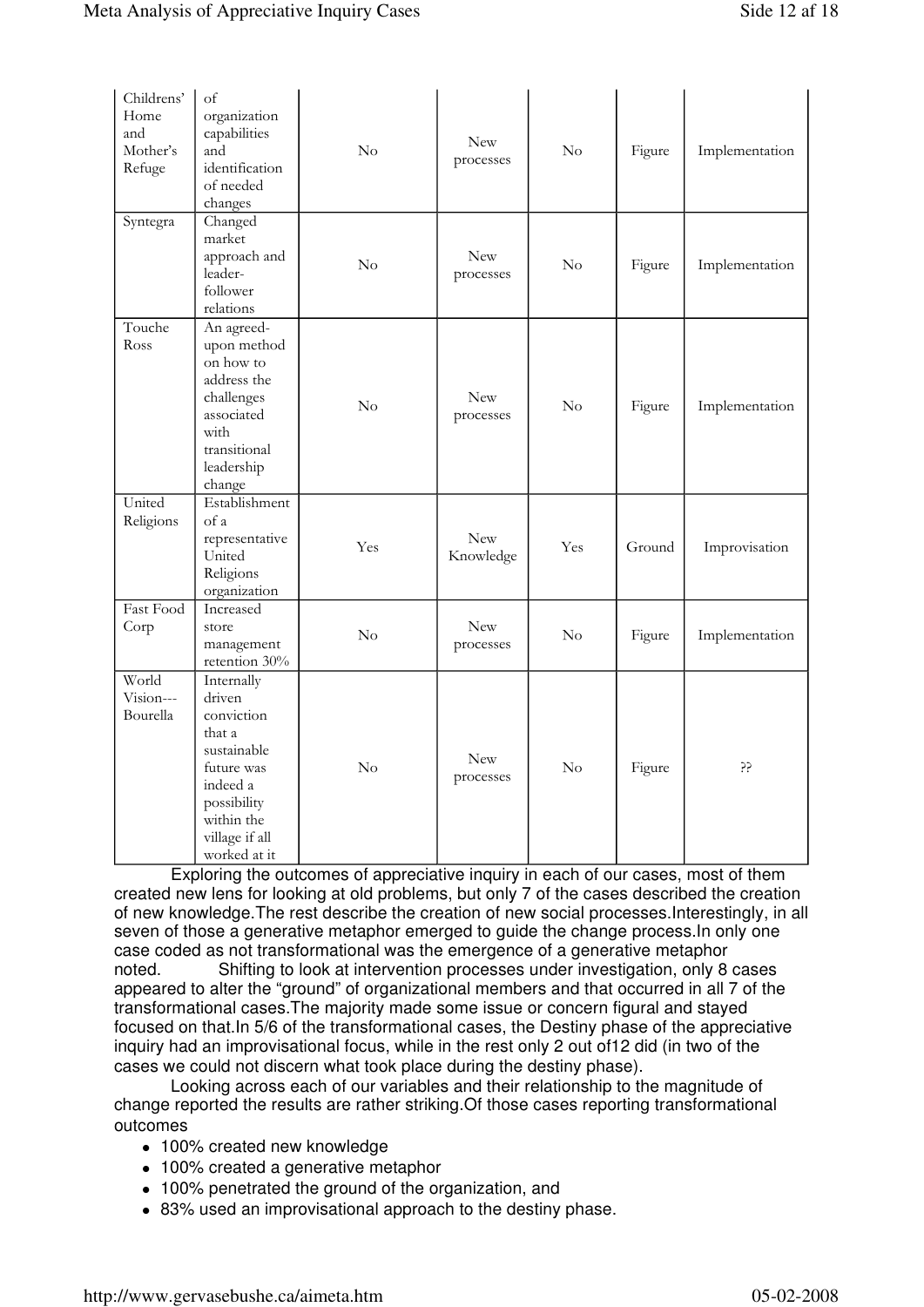| Childrens'<br>Home<br>and<br>Mother's<br>Refuge | of<br>organization<br>capabilities<br>and<br>identification<br>of needed<br>changes                                                                  | No  | <b>New</b><br>processes | No       | Figure | Implementation |
|-------------------------------------------------|------------------------------------------------------------------------------------------------------------------------------------------------------|-----|-------------------------|----------|--------|----------------|
| Syntegra                                        | Changed<br>market<br>approach and<br>leader-<br>follower<br>relations                                                                                | No  | <b>New</b><br>processes | No       | Figure | Implementation |
| Touche<br>Ross                                  | An agreed-<br>upon method<br>on how to<br>address the<br>challenges<br>associated<br>with<br>transitional<br>leadership<br>change                    | No  | <b>New</b><br>processes | No       | Figure | Implementation |
| United<br>Religions                             | Establishment<br>of a<br>representative<br>United<br>Religions<br>organization                                                                       | Yes | <b>New</b><br>Knowledge | Yes      | Ground | Improvisation  |
| <b>Fast Food</b><br>Corp                        | Increased<br>store<br>management<br>retention 30%                                                                                                    | No  | <b>New</b><br>processes | $\rm No$ | Figure | Implementation |
| World<br>Vision---<br>Bourella                  | Internally<br>driven<br>conviction<br>that a<br>sustainable<br>future was<br>indeed a<br>possibility<br>within the<br>village if all<br>worked at it | No  | <b>New</b><br>processes | No       | Figure | ςç.            |

 Exploring the outcomes of appreciative inquiry in each of our cases, most of them created new lens for looking at old problems, but only 7 of the cases described the creation of new knowledge.The rest describe the creation of new social processes.Interestingly, in all seven of those a generative metaphor emerged to guide the change process.In only one case coded as not transformational was the emergence of a generative metaphor noted. Shifting to look at intervention processes under investigation, only 8 cases appeared to alter the "ground" of organizational members and that occurred in all 7 of the transformational cases.The majority made some issue or concern figural and stayed focused on that.In 5/6 of the transformational cases, the Destiny phase of the appreciative inquiry had an improvisational focus, while in the rest only 2 out of12 did (in two of the cases we could not discern what took place during the destiny phase).

 Looking across each of our variables and their relationship to the magnitude of change reported the results are rather striking.Of those cases reporting transformational outcomes

- 100% created new knowledge
- 100% created a generative metaphor
- 100% penetrated the ground of the organization, and
- 83% used an improvisational approach to the destiny phase.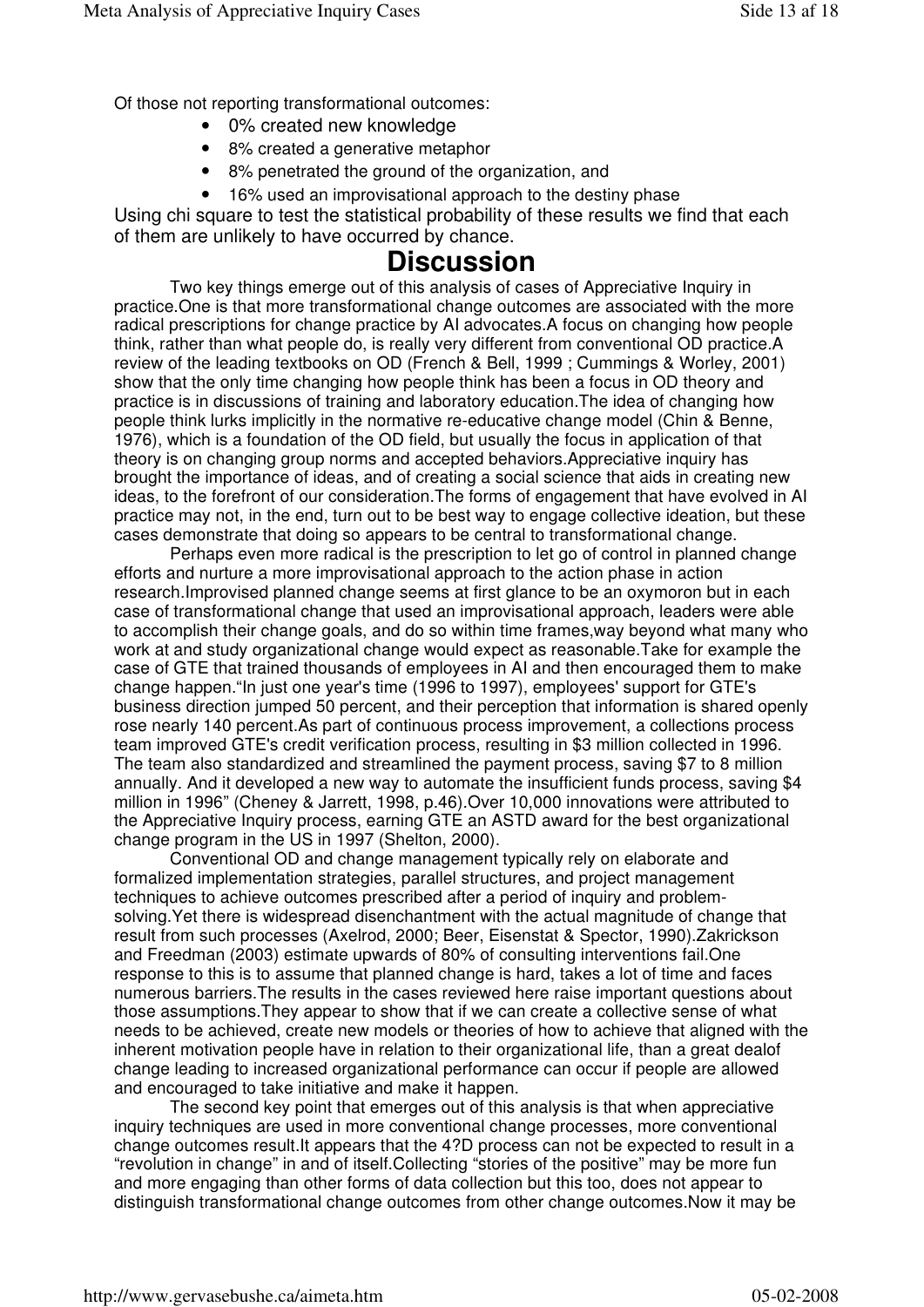Of those not reporting transformational outcomes:

- 0% created new knowledge
- 8% created a generative metaphor
- 8% penetrated the ground of the organization, and
- 16% used an improvisational approach to the destiny phase

Using chi square to test the statistical probability of these results we find that each of them are unlikely to have occurred by chance.

# **Discussion**

Two key things emerge out of this analysis of cases of Appreciative Inquiry in practice.One is that more transformational change outcomes are associated with the more radical prescriptions for change practice by AI advocates.A focus on changing how people think, rather than what people do, is really very different from conventional OD practice.A review of the leading textbooks on OD (French & Bell, 1999 ; Cummings & Worley, 2001) show that the only time changing how people think has been a focus in OD theory and practice is in discussions of training and laboratory education.The idea of changing how people think lurks implicitly in the normative re-educative change model (Chin & Benne, 1976), which is a foundation of the OD field, but usually the focus in application of that theory is on changing group norms and accepted behaviors.Appreciative inquiry has brought the importance of ideas, and of creating a social science that aids in creating new ideas, to the forefront of our consideration.The forms of engagement that have evolved in AI practice may not, in the end, turn out to be best way to engage collective ideation, but these cases demonstrate that doing so appears to be central to transformational change.

Perhaps even more radical is the prescription to let go of control in planned change efforts and nurture a more improvisational approach to the action phase in action research.Improvised planned change seems at first glance to be an oxymoron but in each case of transformational change that used an improvisational approach, leaders were able to accomplish their change goals, and do so within time frames,way beyond what many who work at and study organizational change would expect as reasonable.Take for example the case of GTE that trained thousands of employees in AI and then encouraged them to make change happen."In just one year's time (1996 to 1997), employees' support for GTE's business direction jumped 50 percent, and their perception that information is shared openly rose nearly 140 percent.As part of continuous process improvement, a collections process team improved GTE's credit verification process, resulting in \$3 million collected in 1996. The team also standardized and streamlined the payment process, saving \$7 to 8 million annually. And it developed a new way to automate the insufficient funds process, saving \$4 million in 1996" (Cheney & Jarrett, 1998, p.46).Over 10,000 innovations were attributed to the Appreciative Inquiry process, earning GTE an ASTD award for the best organizational change program in the US in 1997 (Shelton, 2000).

Conventional OD and change management typically rely on elaborate and formalized implementation strategies, parallel structures, and project management techniques to achieve outcomes prescribed after a period of inquiry and problemsolving.Yet there is widespread disenchantment with the actual magnitude of change that result from such processes (Axelrod, 2000; Beer, Eisenstat & Spector, 1990).Zakrickson and Freedman (2003) estimate upwards of 80% of consulting interventions fail.One response to this is to assume that planned change is hard, takes a lot of time and faces numerous barriers.The results in the cases reviewed here raise important questions about those assumptions.They appear to show that if we can create a collective sense of what needs to be achieved, create new models or theories of how to achieve that aligned with the inherent motivation people have in relation to their organizational life, than a great dealof change leading to increased organizational performance can occur if people are allowed and encouraged to take initiative and make it happen.

The second key point that emerges out of this analysis is that when appreciative inquiry techniques are used in more conventional change processes, more conventional change outcomes result.It appears that the 4?D process can not be expected to result in a "revolution in change" in and of itself.Collecting "stories of the positive" may be more fun and more engaging than other forms of data collection but this too, does not appear to distinguish transformational change outcomes from other change outcomes.Now it may be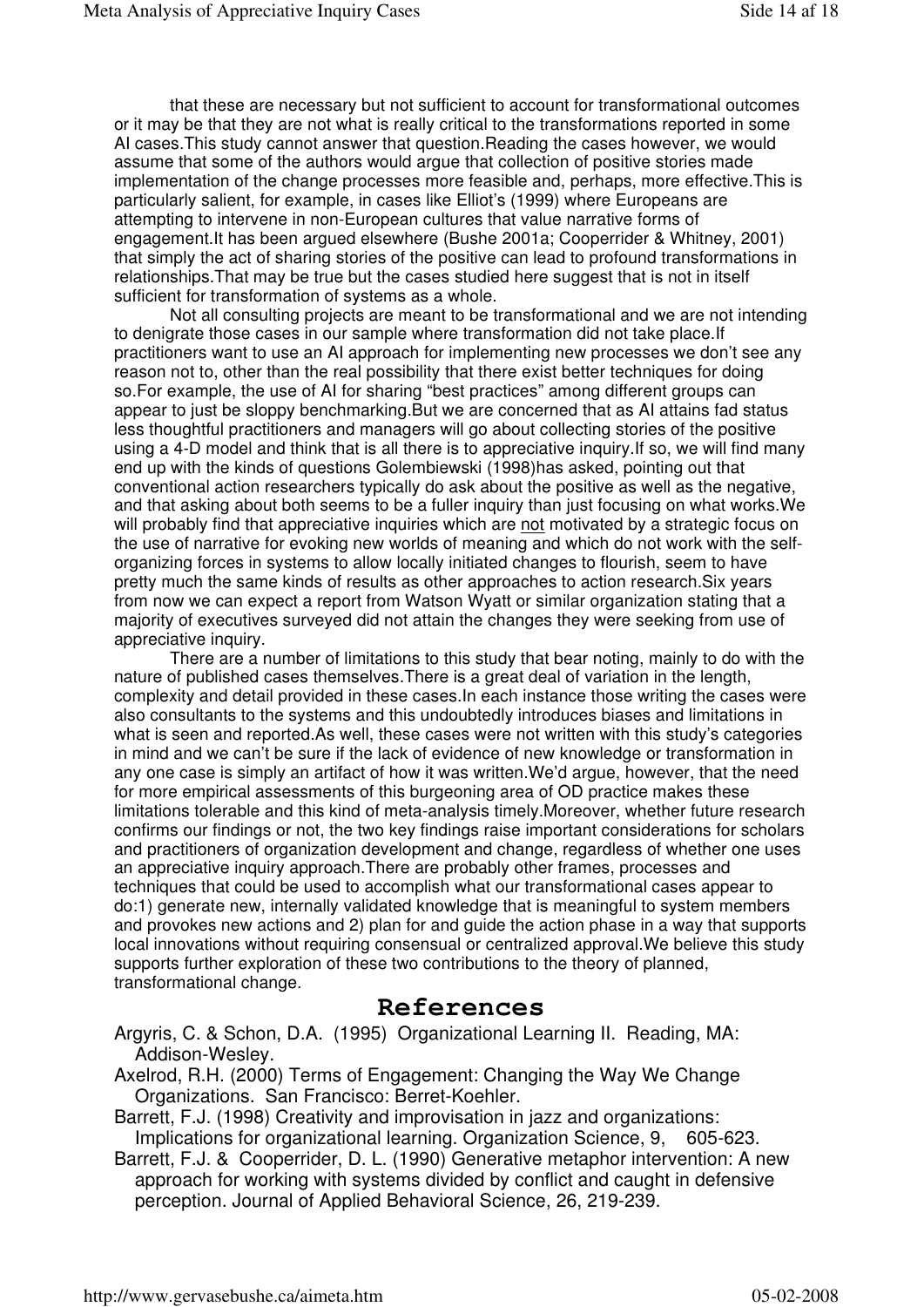that these are necessary but not sufficient to account for transformational outcomes or it may be that they are not what is really critical to the transformations reported in some AI cases.This study cannot answer that question.Reading the cases however, we would assume that some of the authors would argue that collection of positive stories made implementation of the change processes more feasible and, perhaps, more effective.This is particularly salient, for example, in cases like Elliot's (1999) where Europeans are attempting to intervene in non-European cultures that value narrative forms of engagement.It has been argued elsewhere (Bushe 2001a; Cooperrider & Whitney, 2001) that simply the act of sharing stories of the positive can lead to profound transformations in relationships.That may be true but the cases studied here suggest that is not in itself sufficient for transformation of systems as a whole.

Not all consulting projects are meant to be transformational and we are not intending to denigrate those cases in our sample where transformation did not take place.If practitioners want to use an AI approach for implementing new processes we don't see any reason not to, other than the real possibility that there exist better techniques for doing so.For example, the use of AI for sharing "best practices" among different groups can appear to just be sloppy benchmarking.But we are concerned that as AI attains fad status less thoughtful practitioners and managers will go about collecting stories of the positive using a 4-D model and think that is all there is to appreciative inquiry.If so, we will find many end up with the kinds of questions Golembiewski (1998)has asked, pointing out that conventional action researchers typically do ask about the positive as well as the negative, and that asking about both seems to be a fuller inquiry than just focusing on what works.We will probably find that appreciative inquiries which are not motivated by a strategic focus on the use of narrative for evoking new worlds of meaning and which do not work with the selforganizing forces in systems to allow locally initiated changes to flourish, seem to have pretty much the same kinds of results as other approaches to action research.Six years from now we can expect a report from Watson Wyatt or similar organization stating that a majority of executives surveyed did not attain the changes they were seeking from use of appreciative inquiry.

There are a number of limitations to this study that bear noting, mainly to do with the nature of published cases themselves.There is a great deal of variation in the length, complexity and detail provided in these cases.In each instance those writing the cases were also consultants to the systems and this undoubtedly introduces biases and limitations in what is seen and reported.As well, these cases were not written with this study's categories in mind and we can't be sure if the lack of evidence of new knowledge or transformation in any one case is simply an artifact of how it was written.We'd argue, however, that the need for more empirical assessments of this burgeoning area of OD practice makes these limitations tolerable and this kind of meta-analysis timely.Moreover, whether future research confirms our findings or not, the two key findings raise important considerations for scholars and practitioners of organization development and change, regardless of whether one uses an appreciative inquiry approach.There are probably other frames, processes and techniques that could be used to accomplish what our transformational cases appear to do:1) generate new, internally validated knowledge that is meaningful to system members and provokes new actions and 2) plan for and guide the action phase in a way that supports local innovations without requiring consensual or centralized approval.We believe this study supports further exploration of these two contributions to the theory of planned, transformational change.

# **References**

- Argyris, C. & Schon, D.A. (1995) Organizational Learning II. Reading, MA: Addison-Wesley.
- Axelrod, R.H. (2000) Terms of Engagement: Changing the Way We Change Organizations. San Francisco: Berret-Koehler.
- Barrett, F.J. (1998) Creativity and improvisation in jazz and organizations: Implications for organizational learning. Organization Science, 9, 605-623.
- Barrett, F.J. & Cooperrider, D. L. (1990) Generative metaphor intervention: A new approach for working with systems divided by conflict and caught in defensive perception. Journal of Applied Behavioral Science, 26, 219-239.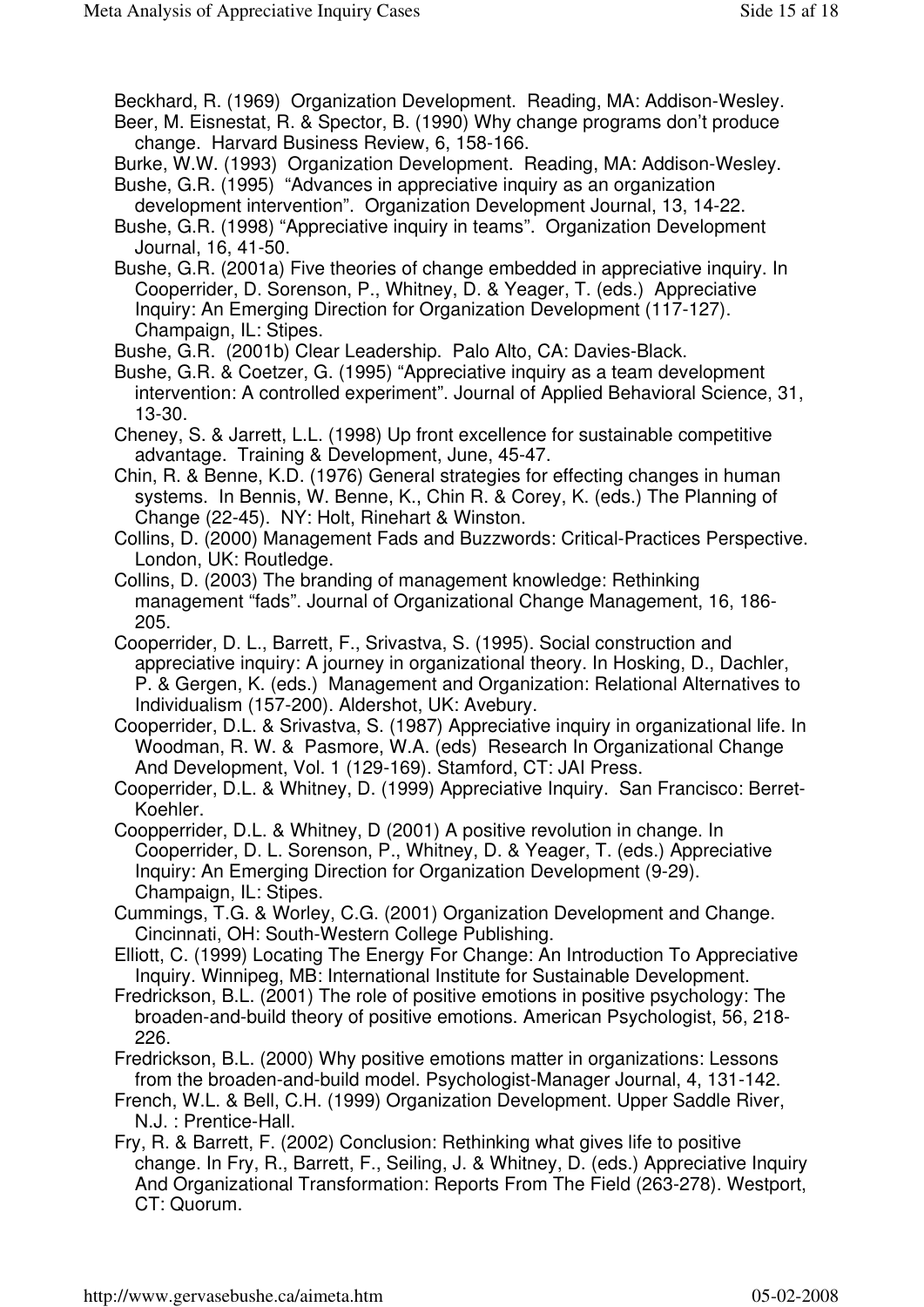Beckhard, R. (1969) Organization Development. Reading, MA: Addison-Wesley. Beer, M. Eisnestat, R. & Spector, B. (1990) Why change programs don't produce change. Harvard Business Review, 6, 158-166.

Burke, W.W. (1993) Organization Development. Reading, MA: Addison-Wesley.

Bushe, G.R. (1995) "Advances in appreciative inquiry as an organization development intervention". Organization Development Journal, 13, 14-22.

Bushe, G.R. (1998) "Appreciative inquiry in teams". Organization Development Journal, 16, 41-50.

Bushe, G.R. (2001a) Five theories of change embedded in appreciative inquiry. In Cooperrider, D. Sorenson, P., Whitney, D. & Yeager, T. (eds.) Appreciative Inquiry: An Emerging Direction for Organization Development (117-127). Champaign, IL: Stipes.

Bushe, G.R. (2001b) Clear Leadership. Palo Alto, CA: Davies-Black.

Bushe, G.R. & Coetzer, G. (1995) "Appreciative inquiry as a team development intervention: A controlled experiment". Journal of Applied Behavioral Science, 31, 13-30.

Cheney, S. & Jarrett, L.L. (1998) Up front excellence for sustainable competitive advantage. Training & Development, June, 45-47.

Chin, R. & Benne, K.D. (1976) General strategies for effecting changes in human systems. In Bennis, W. Benne, K., Chin R. & Corey, K. (eds.) The Planning of Change (22-45). NY: Holt, Rinehart & Winston.

Collins, D. (2000) Management Fads and Buzzwords: Critical-Practices Perspective. London, UK: Routledge.

Collins, D. (2003) The branding of management knowledge: Rethinking management "fads". Journal of Organizational Change Management, 16, 186- 205.

Cooperrider, D. L., Barrett, F., Srivastva, S. (1995). Social construction and appreciative inquiry: A journey in organizational theory. In Hosking, D., Dachler, P. & Gergen, K. (eds.) Management and Organization: Relational Alternatives to Individualism (157-200). Aldershot, UK: Avebury.

Cooperrider, D.L. & Srivastva, S. (1987) Appreciative inquiry in organizational life. In Woodman, R. W. & Pasmore, W.A. (eds) Research In Organizational Change And Development, Vol. 1 (129-169). Stamford, CT: JAI Press.

Cooperrider, D.L. & Whitney, D. (1999) Appreciative Inquiry. San Francisco: Berret-Koehler.

Coopperrider, D.L. & Whitney, D (2001) A positive revolution in change. In Cooperrider, D. L. Sorenson, P., Whitney, D. & Yeager, T. (eds.) Appreciative Inquiry: An Emerging Direction for Organization Development (9-29). Champaign, IL: Stipes.

Cummings, T.G. & Worley, C.G. (2001) Organization Development and Change. Cincinnati, OH: South-Western College Publishing.

Elliott, C. (1999) Locating The Energy For Change: An Introduction To Appreciative Inquiry. Winnipeg, MB: International Institute for Sustainable Development.

Fredrickson, B.L. (2001) The role of positive emotions in positive psychology: The broaden-and-build theory of positive emotions. American Psychologist, 56, 218- 226.

Fredrickson, B.L. (2000) Why positive emotions matter in organizations: Lessons from the broaden-and-build model. Psychologist-Manager Journal, 4, 131-142.

French, W.L. & Bell, C.H. (1999) Organization Development. Upper Saddle River, N.J. : Prentice-Hall.

Fry, R. & Barrett, F. (2002) Conclusion: Rethinking what gives life to positive change. In Fry, R., Barrett, F., Seiling, J. & Whitney, D. (eds.) Appreciative Inquiry And Organizational Transformation: Reports From The Field (263-278). Westport, CT: Quorum.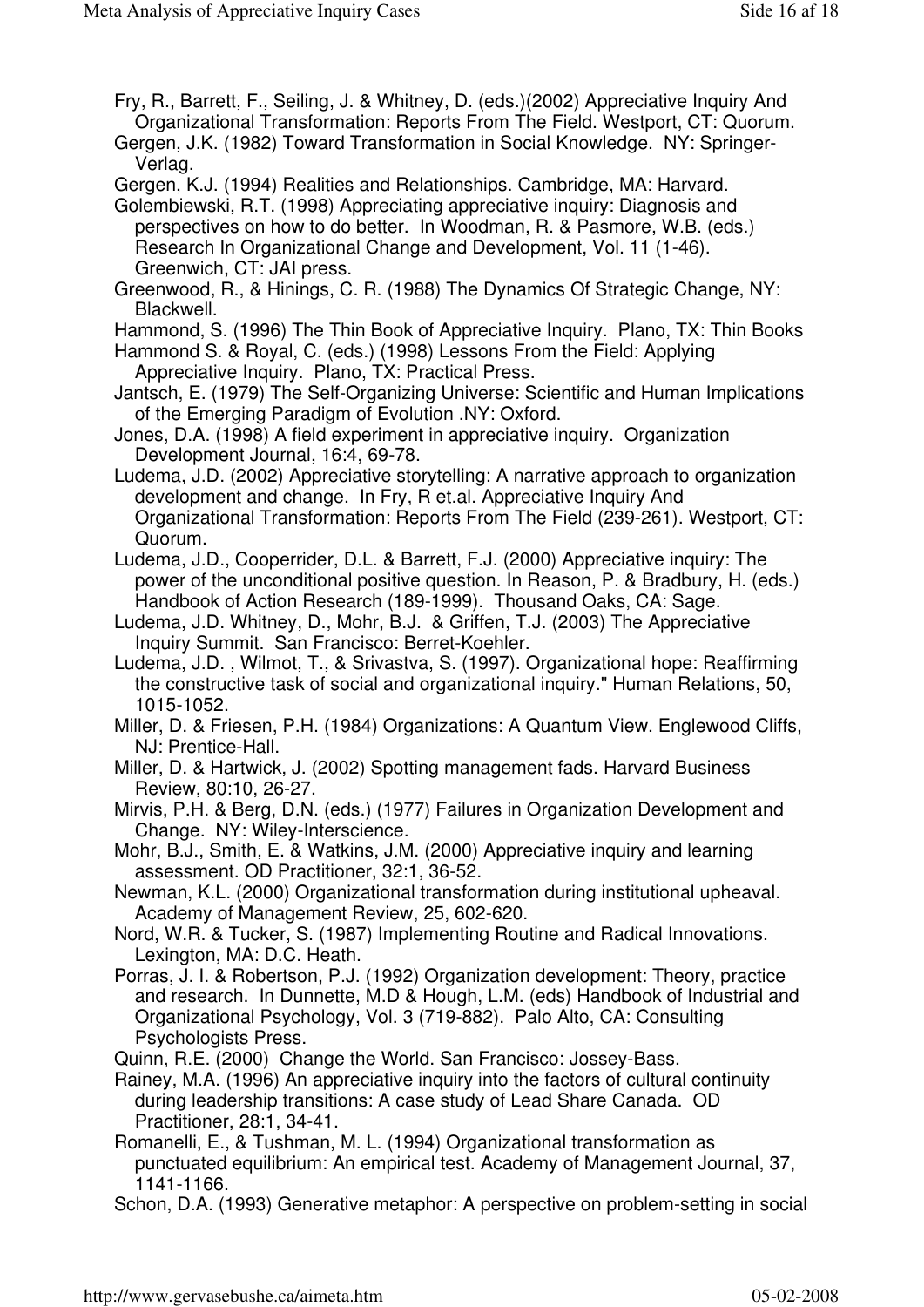Fry, R., Barrett, F., Seiling, J. & Whitney, D. (eds.)(2002) Appreciative Inquiry And Organizational Transformation: Reports From The Field. Westport, CT: Quorum.

Gergen, J.K. (1982) Toward Transformation in Social Knowledge. NY: Springer-Verlag.

Gergen, K.J. (1994) Realities and Relationships. Cambridge, MA: Harvard.

Golembiewski, R.T. (1998) Appreciating appreciative inquiry: Diagnosis and perspectives on how to do better. In Woodman, R. & Pasmore, W.B. (eds.) Research In Organizational Change and Development, Vol. 11 (1-46). Greenwich, CT: JAI press.

Greenwood, R., & Hinings, C. R. (1988) The Dynamics Of Strategic Change, NY: Blackwell.

Hammond, S. (1996) The Thin Book of Appreciative Inquiry. Plano, TX: Thin Books

Hammond S. & Royal, C. (eds.) (1998) Lessons From the Field: Applying Appreciative Inquiry. Plano, TX: Practical Press.

Jantsch, E. (1979) The Self-Organizing Universe: Scientific and Human Implications of the Emerging Paradigm of Evolution .NY: Oxford.

Jones, D.A. (1998) A field experiment in appreciative inquiry. Organization Development Journal, 16:4, 69-78.

Ludema, J.D. (2002) Appreciative storytelling: A narrative approach to organization development and change. In Fry, R et.al. Appreciative Inquiry And Organizational Transformation: Reports From The Field (239-261). Westport, CT: Quorum.

Ludema, J.D., Cooperrider, D.L. & Barrett, F.J. (2000) Appreciative inquiry: The power of the unconditional positive question. In Reason, P. & Bradbury, H. (eds.) Handbook of Action Research (189-1999). Thousand Oaks, CA: Sage.

Ludema, J.D. Whitney, D., Mohr, B.J. & Griffen, T.J. (2003) The Appreciative Inquiry Summit. San Francisco: Berret-Koehler.

Ludema, J.D. , Wilmot, T., & Srivastva, S. (1997). Organizational hope: Reaffirming the constructive task of social and organizational inquiry." Human Relations, 50, 1015-1052.

Miller, D. & Friesen, P.H. (1984) Organizations: A Quantum View. Englewood Cliffs, NJ: Prentice-Hall.

Miller, D. & Hartwick, J. (2002) Spotting management fads. Harvard Business Review, 80:10, 26-27.

Mirvis, P.H. & Berg, D.N. (eds.) (1977) Failures in Organization Development and Change. NY: Wiley-Interscience.

Mohr, B.J., Smith, E. & Watkins, J.M. (2000) Appreciative inquiry and learning assessment. OD Practitioner, 32:1, 36-52.

Newman, K.L. (2000) Organizational transformation during institutional upheaval. Academy of Management Review, 25, 602-620.

Nord, W.R. & Tucker, S. (1987) Implementing Routine and Radical Innovations. Lexington, MA: D.C. Heath.

Porras, J. I. & Robertson, P.J. (1992) Organization development: Theory, practice and research. In Dunnette, M.D & Hough, L.M. (eds) Handbook of Industrial and Organizational Psychology, Vol. 3 (719-882). Palo Alto, CA: Consulting Psychologists Press.

Quinn, R.E. (2000) Change the World. San Francisco: Jossey-Bass.

Rainey, M.A. (1996) An appreciative inquiry into the factors of cultural continuity during leadership transitions: A case study of Lead Share Canada. OD Practitioner, 28:1, 34-41.

Romanelli, E., & Tushman, M. L. (1994) Organizational transformation as punctuated equilibrium: An empirical test. Academy of Management Journal, 37, 1141-1166.

Schon, D.A. (1993) Generative metaphor: A perspective on problem-setting in social